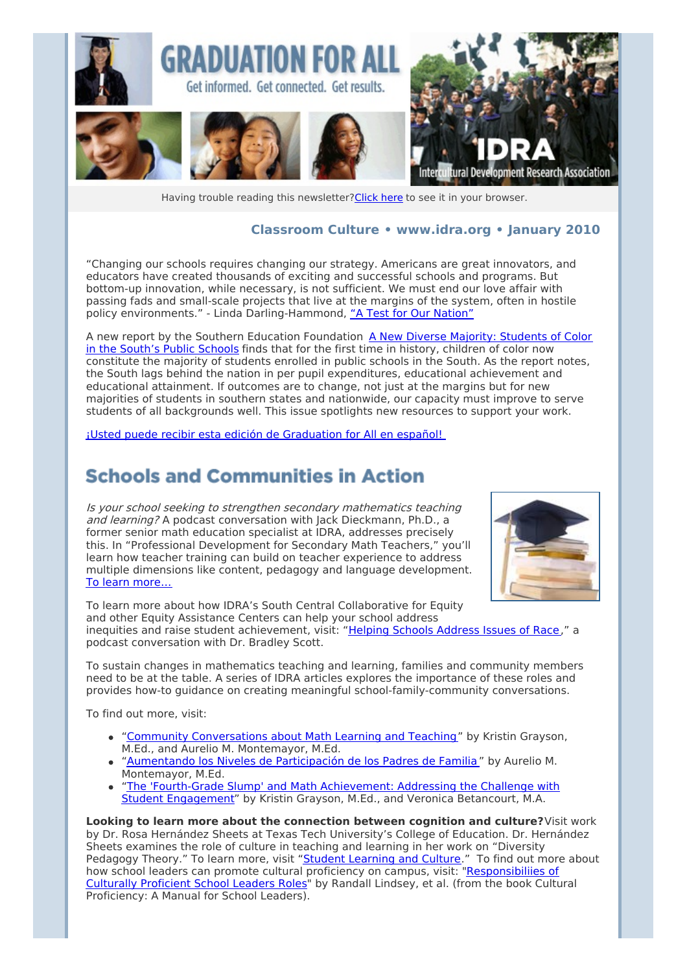

Having trouble reading this newsletter? Click here to see it in your browser.

#### **Classroom Culture • [www.idra.org](http://idra.createsend1.com/t/1/l/ujsf/l/www.idra.org) • January 2010**

"Changing our schools requires changing our strategy. Americans are great innovators, and educators have created thousands of exciting and successful schools and programs. But bottom-up innovation, while necessary, is not sufficient. We must end our love affair with passing fads and small-scale projects that live at the margins of the system, often in hostile policy environments." - Linda Darling-Hammond, "A Test for Our [Nation"](http://idra.createsend1.com/t/r/l/ujsf/l/r)

A new report by the Southern Education [Foundation](http://idra.createsend1.com/t/r/l/ujsf/l/y) A New Diverse Majority: Students of Color in the South's Public Schools finds that for the first time in history, children of color now constitute the majority of students enrolled in public schools in the South. As the report notes, the South lags behind the nation in per pupil expenditures, educational achievement and educational attainment. If outcomes are to change, not just at the margins but for new majorities of students in southern states and nationwide, our capacity must improve to serve students of all backgrounds well. This issue spotlights new resources to support your work.

¡Usted puede recibir esta edición de [Graduation](http://idra.createsend1.com/t/r/l/ujsf/l/j) for All en español!

### **Schools and Communities in Action**

Is your school seeking to strengthen secondary mathematics teaching and learning? A podcast conversation with Jack Dieckmann, Ph.D., a former senior math education specialist at IDRA, addresses precisely this. In "Professional Development for Secondary Math Teachers," you'll learn how teacher training can build on teacher experience to address multiple dimensions like content, pedagogy and language development. To learn [more…](http://idra.createsend1.com/t/r/l/ujsf/l/t)



To learn more about how IDRA's South Central Collaborative for Equity and other Equity Assistance Centers can help your school address inequities and raise student achievement, visit: "Helping Schools [Address](http://idra.createsend1.com/t/r/l/ujsf/l/i) Issues of Race," a podcast conversation with Dr. Bradley Scott.

To sustain changes in mathematics teaching and learning, families and community members need to be at the table. A series of IDRA articles explores the importance of these roles and provides how-to guidance on creating meaningful school-family-community conversations.

To find out more, visit:

- "Community [Conversations](http://idra.createsend1.com/t/r/l/ujsf/l/d) about Math Learning and Teaching" by Kristin Grayson, M.Ed., and Aurelio M. Montemayor, M.Ed.
- ["Aumentando](http://idra.createsend1.com/t/r/l/ujsf/l/h) los Niveles de Participación de los Padres de Familia " by Aurelio M. Montemayor, M.Ed.
- "The 'Fourth-Grade Slump' and Math [Achievement:](http://idra.createsend1.com/t/r/l/ujsf/l/k) Addressing the Challenge with Student Engagement" by Kristin Grayson, M.Ed., and Veronica Betancourt, M.A.

**Looking to learn more about the connection between cognition and culture?**Visit work by Dr. Rosa Hernández Sheets at Texas Tech University's College of Education. Dr. Hernández Sheets examines the role of culture in teaching and learning in her work on "Diversity Pedagogy Theory." To learn more, visit "Student [Learning](http://idra.createsend1.com/t/r/l/ujsf/l/u) and Culture." To find out more about how school leaders can promote cultural proficiency on campus, visit: ["Responsibiliies](http://idra.createsend1.com/t/r/l/ujsf/l/o) of Culturally Proficient School Leaders Roles" by Randall Lindsey, et al. (from the book Cultural Proficiency: A Manual for School Leaders).